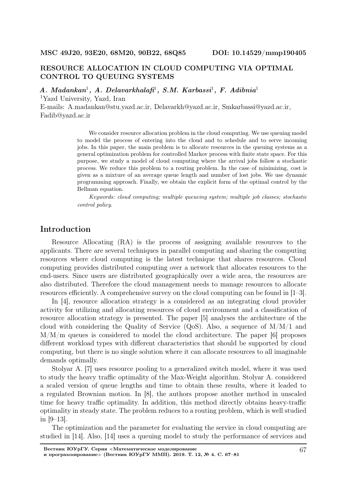# RESOURCE ALLOCATION IN CLOUD COMPUTING VIA OPTIMAL CONTROL TO QUEUING SYSTEMS

 $A. Madankan<sup>1</sup>, A. Delavarkhalafi<sup>1</sup>, S.M. Karbassi<sup>1</sup>, F. Adibnia<sup>1</sup>$ <sup>1</sup>Yazd University, Yazd, Iran

E-mails: A.madankan@stu.yazd.ac.ir, Delavarkh@yazd.ac.ir, Smkarbassi@yazd.ac.ir, Fadib@yazd.ac.ir

> We consider resource allocation problem in the cloud computing. We use queuing model to model the process of entering into the cloud and to schedule and to serve incoming jobs. In this paper, the main problem is to allocate resources in the queuing systems as a general optimization problem for controlled Markov process with finite state space. For this purpose, we study a model of cloud computing where the arrival jobs follow a stochastic process. We reduce this problem to a routing problem. In the case of minimizing, cost is given as a mixture of an average queue length and number of lost jobs. We use dynamic programming approach. Finally, we obtain the explicit form of the optimal control by the Bellman equation.

> Keywords: cloud computing; multiple queueing system; multiple job classes; stochastic control policy.

## Introduction

Resource Allocating (RA) is the process of assigning available resources to the applicants. There are several techniques in parallel computing and sharing the computing resources where cloud computing is the latest technique that shares resources. Cloud computing provides distributed computing over a network that allocates resources to the end-users. Since users are distributed geographically over a wide area, the resources are also distributed. Therefore the cloud management needs to manage resources to allocate resources efficiently. A comprehensive survey on the cloud computing can be found in [1–3].

In [4], resource allocation strategy is a considered as an integrating cloud provider activity for utilizing and allocating resources of cloud environment and a classification of resource allocation strategy is presented. The paper [5] analyses the architecture of the cloud with considering the Quality of Service  $(Q_0S)$ . Also, a sequence of  $M/M/1$  and  $M/M/m$  queues is considered to model the cloud architecture. The paper [6] proposes different workload types with different characteristics that should be supported by cloud computing, but there is no single solution where it can allocate resources to all imaginable demands optimally.

Stolyar A. [7] uses resource pooling to a generalized switch model, where it was used to study the heavy traffic optimality of the Max-Weight algorithm. Stolyar A. considered a scaled version of queue lengths and time to obtain these results, where it leaded to a regulated Brownian motion. In [8], the authors propose another method in unscaled time for heavy traffic optimality. In addition, this method directly obtains heavy-traffic optimality in steady state. The problem reduces to a routing problem, which is well studied in [9–13].

The optimization and the parameter for evaluating the service in cloud computing are studied in [14]. Also, [14] uses a queuing model to study the performance of services and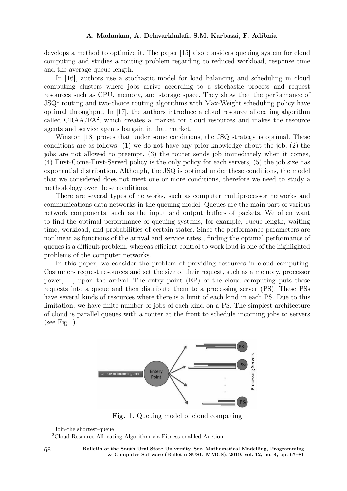develops a method to optimize it. The paper [15] also considers queuing system for cloud computing and studies a routing problem regarding to reduced workload, response time and the average queue length.

In [16], authors use a stochastic model for load balancing and scheduling in cloud computing clusters where jobs arrive according to a stochastic process and request resources such as CPU, memory, and storage space. They show that the performance of JSQ<sup>1</sup> routing and two-choice routing algorithms with Max-Weight scheduling policy have optimal throughput. In [17], the authors introduce a cloud resource allocating algorithm called CRAA/FA<sup>2</sup> , which creates a market for cloud resources and makes the resource agents and service agents bargain in that market.

Winston [18] proves that under some conditions, the JSQ strategy is optimal. These conditions are as follows: (1) we do not have any prior knowledge about the job, (2) the jobs are not allowed to preempt, (3) the router sends job immediately when it comes, (4) First-Come-First-Served policy is the only policy for each servers, (5) the job size has exponential distribution. Although, the JSQ is optimal under these conditions, the model that we considered does not meet one or more conditions, therefore we need to study a methodology over these conditions.

There are several types of networks, such as computer multiprocessor networks and communications data networks in the queuing model. Queues are the main part of various network components, such as the input and output buffers of packets. We often want to find the optimal performance of queuing systems, for example, queue length, waiting time, workload, and probabilities of certain states. Since the performance parameters are nonlinear as functions of the arrival and service rates , finding the optimal performance of queues is a difficult problem, whereas efficient control to work loud is one of the highlighted problems of the computer networks.

In this paper, we consider the problem of providing resources in cloud computing. Costumers request resources and set the size of their request, such as a memory, processor power, ..., upon the arrival. The entry point (EP) of the cloud computing puts these requests into a queue and then distribute them to a processing server (PS). These PSs have several kinds of resources where there is a limit of each kind in each PS. Due to this limitation, we have finite number of jobs of each kind on a PS. The simplest architecture of cloud is parallel queues with a router at the front to schedule incoming jobs to servers (see Fig.1).



Fig. 1. Queuing model of cloud computing

<sup>1</sup>Join-the shortest-queue

<sup>2</sup>Cloud Resource Allocating Algorithm via Fitness-enabled Auction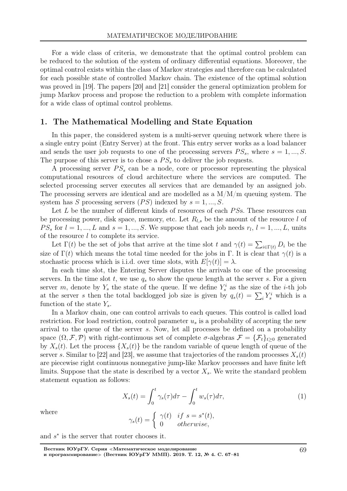For a wide class of criteria, we demonstrate that the optimal control problem can be reduced to the solution of the system of ordinary differential equations. Moreover, the optimal control exists within the class of Markov strategies and therefore can be calculated for each possible state of controlled Markov chain. The existence of the optimal solution was proved in [19]. The papers [20] and [21] consider the general optimization problem for jump Markov process and propose the reduction to a problem with complete information for a wide class of optimal control problems.

### 1. The Mathematical Modelling and State Equation

In this paper, the considered system is a multi-server queuing network where there is a single entry point (Entry Server) at the front. This entry server works as a load balancer and sends the user job requests to one of the processing servers  $PS_s$ , where  $s = 1, ..., S$ . The purpose of this server is to chose a  $PS<sub>s</sub>$  to deliver the job requests.

A processing server  $PS<sub>s</sub>$  can be a node, core or processor representing the physical computational resources of cloud architecture where the services are computed. The selected processing server executes all services that are demanded by an assigned job. The processing servers are identical and are modelled as a  $M/M/m$  queuing system. The system has S processing servers  $(PS)$  indexed by  $s = 1, ..., S$ .

Let  $L$  be the number of different kinds of resources of each  $PSs$ . These resources can be processing power, disk space, memory, etc. Let  $R_{l,s}$  be the amount of the resource l of  $PS_s$  for  $l = 1, ..., L$  and  $s = 1, ..., S$ . We suppose that each job needs  $r_l, l = 1, ..., L$ , units of the resource l to complete its service.

Let  $\Gamma(t)$  be the set of jobs that arrive at the time slot t and  $\gamma(t) = \sum_{i \in \Gamma(t)} D_i$  be the size of  $\Gamma(t)$  which means the total time needed for the jobs in Γ. It is clear that  $\gamma(t)$  is a stochastic process which is i.i.d. over time slots, with  $E[\gamma(t)] = \lambda$ .

In each time slot, the Entering Server disputes the arrivals to one of the processing servers. In the time slot t, we use  $q_s$  to show the queue length at the server s. For a given server m, denote by  $Y_s$  the state of the queue. If we define  $Y_s^i$  as the size of the *i*-th job at the server s then the total backlogged job size is given by  $q_s(t) = \sum_i Y_s^i$  which is a function of the state  $Y_s$ .

In a Markov chain, one can control arrivals to each queues. This control is called load restriction. For load restriction, control parameter  $u_s$  is a probability of accepting the new arrival to the queue of the server s. Now, let all processes be defined on a probability space  $(\Omega, \mathcal{F}, \mathcal{P})$  with right-continuous set of complete  $\sigma$ -algebras  $\mathcal{F} = {\{\mathcal{F}_t\}}_{t\geq0}$  generated by  $X_s(t)$ . Let the process  $\{X_s(t)\}\$ be the random variable of queue length of queue of the server s. Similar to [22] and [23], we assume that trajectories of the random processes  $X_s(t)$ are piecewise right continuous nonnegative jump-like Markov processes and have finite left limits. Suppose that the state is described by a vector  $X<sub>s</sub>$ . We write the standard problem statement equation as follows:

$$
X_s(t) = \int_0^t \gamma_s(\tau) d\tau - \int_0^t w_s(\tau) d\tau,
$$
\n(1)

where

$$
\gamma_s(t) = \begin{cases} \gamma(t) & \text{if } s = s^*(t), \\ 0 & \text{otherwise,} \end{cases}
$$

and  $s^*$  is the server that router chooses it.

Вестник ЮУрГУ. Серия <sup>≪</sup>Математическое моделирование и программирование≫ (Вестник ЮУрГУ ММП). 2019. Т. 12, № 4. С. 67–81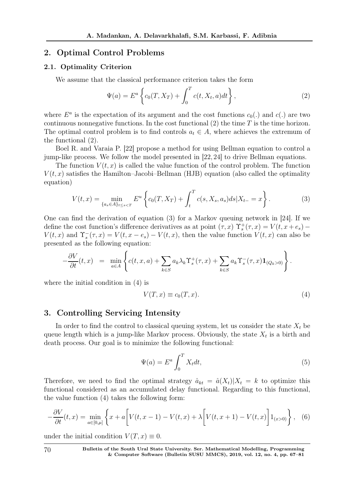## 2. Optimal Control Problems

#### 2.1. Optimality Criterion

We assume that the classical performance criterion takes the form

$$
\Psi(a) = E^a \left\{ c_0(T, X_T) + \int_0^T c(t, X_t, a) dt \right\},
$$
\n(2)

where  $E^a$  is the expectation of its argument and the cost functions  $c_0(.)$  and  $c(.)$  are two continuous nonnegative functions. In the cost functional  $(2)$  the time T is the time horizon. The optimal control problem is to find controls  $a_t \in A$ , where achieves the extremum of the functional (2).

Boel R. and Varaia P. [22] propose a method for using Bellman equation to control a jump-like process. We follow the model presented in [22, 24] to drive Bellman equations.

The function  $V(t, x)$  is called the value function of the control problem. The function  $V(t, x)$  satisfies the Hamilton–Jacobi–Bellman (HJB) equation (also called the optimality equation)

$$
V(t,x) = \min_{\{a_s \in A\}_{t \le s < T}} E^u \left\{ c_0(T, X_T) + \int_t^T c(s, X_s, a_s) ds | X_{t-} = x \right\}.
$$
\n<sup>(3)</sup>

One can find the derivation of equation (3) for a Markov queuing network in [24]. If we define the cost function's difference derivatives as at point  $(\tau, x)$   $\Upsilon_s^+(\tau, x) = V(t, x + e_s) V(t, x)$  and  $\Upsilon_s^-(\tau, x) = V(t, x - e_s) - V(t, x)$ , then the value function  $V(t, x)$  can also be presented as the following equation:

$$
-\frac{\partial V}{\partial t}(t,x) = \min_{a \in A} \left\{ c(t,x,a) + \sum_{k \in S} a_k \lambda_k \Upsilon_s^+(\tau,x) + \sum_{k \in S} a_k \Upsilon_s^-(\tau,x) \mathbf{1}_{(Q_k > 0)} \right\}.
$$

where the initial condition in (4) is

$$
V(T, x) \equiv c_0(T, x). \tag{4}
$$

#### 3. Controlling Servicing Intensity

In order to find the control to classical queuing system, let us consider the state  $X_t$  be queue length which is a jump-like Markov process. Obviously, the state  $X_t$  is a birth and death process. Our goal is to minimize the following functional:

$$
\Psi(a) = E^a \int_0^T X_t dt,
$$
\n(5)

Therefore, we need to find the optimal strategy  $\hat{a}_{kt} = \hat{a}(X_t)|X_t = k$  to optimize this functional considered as an accumulated delay functional. Regarding to this functional, the value function (4) takes the following form:

$$
-\frac{\partial V}{\partial t}(t,x) = \min_{a \in [0,\mu]} \left\{ x + a \left[ V(t,x-1) - V(t,x) + \lambda \left[ V(t,x+1) - V(t,x) \right] 1_{(x>0)} \right\}, \tag{6}
$$

under the initial condition  $V(T, x) \equiv 0$ .

70 Bulletin of the South Ural State University. Ser. Mathematical Modelling, Programming & Computer Software (Bulletin SUSU MMCS), 2019, vol. 12, no. 4, pp. 67–81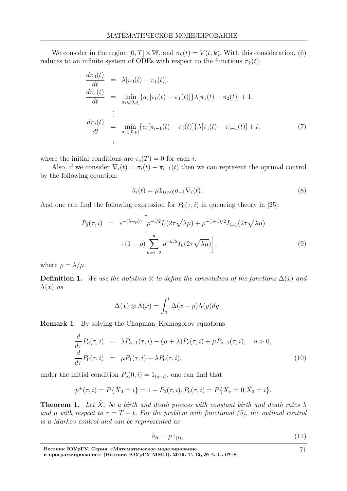We consider in the region  $[0, T] \times \mathbb{W}$ , and  $\pi_k(t) = V(t, k)$ . With this consideration, (6) reduces to an infinite system of ODEs with respect to the functions  $\pi_k(t)$ :

$$
\frac{d\pi_0(t)}{dt} = \lambda[\pi_0(t) - \pi_1(t)],
$$
\n
$$
\frac{d\pi_1(t)}{dt} = \min_{a_1 \in [0,\mu]} \{a_1[\pi_0(t) - \pi_1(t)]\} \lambda[\pi_1(t) - \pi_2(t)] + 1,
$$
\n
$$
\vdots
$$
\n
$$
\frac{d\pi_i(t)}{dt} = \min_{a_i \in [0,\mu]} \{a_i[\pi_{i-1}(t) - \pi_i(t)]\} \lambda[\pi_i(t) - \pi_{i+1}(t)] + i,
$$
\n(7)\n
$$
\vdots
$$

where the initial conditions are  $\pi_i(T) = 0$  for each *i*.

Also, if we consider  $\nabla_i(t) = \pi_i(t) - \pi_{i-1}(t)$  then we can represent the optimal control by the following equation:

$$
\hat{a}_i(t) = \mu \mathbf{1}_{(i>0)} a_{-1} \nabla_i(t). \tag{8}
$$

And one can find the following expression for  $P_0(\tau, i)$  in queueing theory in [25]:

$$
P_0(\tau, i) = e^{-(\lambda + \mu)\tau} \left[ \rho^{-i/2} I_i(2\tau \sqrt{\lambda \mu}) + \rho^{-(i+1)/2} I_{i+1}(2\tau \sqrt{\lambda \mu}) + (1 - \rho) \sum_{k=i+2}^{\infty} \rho^{-k/2} I_k(2\tau \sqrt{\lambda \mu}) \right],
$$
\n(9)

where  $\rho = \lambda/\mu$ .

**Definition 1.** We use the notation  $\otimes$  to define the convolution of the functions  $\Delta(x)$  and  $\Lambda(x)$  as

$$
\Delta(x) \otimes \Lambda(x) = \int_0^t \Delta(x - y) \Lambda(y) dy.
$$

Remark 1. By solving the Chapman–Kolmogorov equations

$$
\frac{d}{d\tau}P_o(\tau, i) = \lambda P_{o-1}(\tau, i) - (\mu + \lambda)P_o(\tau, i) + \mu P_{o+1}(\tau, i), \quad o > 0,\n\frac{d}{d\tau}P_0(\tau, i) = \mu P_1(\tau, i) - \lambda P_0(\tau, i),
$$
\n(10)

under the initial condition  $P_o(0, i) = 1_{(o=i)}$ , one can find that

$$
p^{+}(\tau, i) = P\{\hat{X}_0 = i\} = 1 - P_0(\tau, i), P_0(\tau, i) = P\{\hat{X}_\tau = 0 | \hat{X}_0 = i\}.
$$

**Theorem 1.** Let  $\hat{X}_{\tau}$  be a birth and death process with constant birth and death rates  $\lambda$ and  $\mu$  with respect to  $\tau = T - t$ . For the problem with functional (5), the optimal control is a Markov control and can be reprresented as

$$
\hat{a}_{it} = \mu \mathbf{1}_{(i)},\tag{11}
$$

71

Вестник ЮУрГУ. Серия <sup>≪</sup>Математическое моделирование

и программирование<sup>≫</sup> (Вестник ЮУрГУ ММП). 2019. Т. 12, № 4. С. 67–81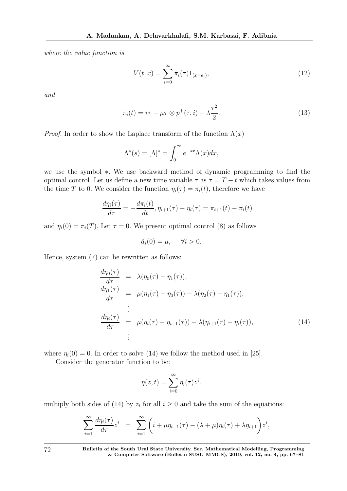where the value function is

$$
V(t,x) = \sum_{i=0}^{\infty} \pi_i(\tau) 1_{(x=e_i)},
$$
\n(12)

and

$$
\pi_i(t) = i\tau - \mu\tau \otimes p^+(\tau, i) + \lambda \frac{\tau^2}{2}.
$$
\n(13)

*Proof.* In order to show the Laplace transform of the function  $\Lambda(x)$ 

$$
\Lambda^*(s) = [\Lambda]^* = \int_0^\infty e^{-sx} \Lambda(x) dx,
$$

we use the symbol ∗. We use backward method of dynamic programming to find the optimal control. Let us define a new time variable  $\tau$  as  $\tau = T - t$  which takes values from the time T to 0. We consider the function  $\eta_i(\tau) = \pi_i(t)$ , therefore we have

$$
\frac{d\eta_i(\tau)}{d\tau} = -\frac{d\pi_i(t)}{dt}, \eta_{i+1}(\tau) - \eta_i(\tau) = \pi_{i+1}(t) - \pi_i(t)
$$

and  $\eta_i(0) = \pi_i(T)$ . Let  $\tau = 0$ . We present optimal control (8) as follows

$$
\hat{a}_i(0) = \mu, \quad \forall i > 0.
$$

Hence, system (7) can be rewritten as follows:

$$
\frac{d\eta_0(\tau)}{d\tau} = \lambda(\eta_0(\tau) - \eta_1(\tau)),
$$
\n
$$
\frac{d\eta_1(\tau)}{d\tau} = \mu(\eta_1(\tau) - \eta_0(\tau)) - \lambda(\eta_2(\tau) - \eta_1(\tau)),
$$
\n
$$
\vdots
$$
\n
$$
\frac{d\eta_i(\tau)}{d\tau} = \mu(\eta_i(\tau) - \eta_{i-1}(\tau)) - \lambda(\eta_{i+1}(\tau) - \eta_i(\tau)),
$$
\n
$$
\vdots
$$
\n(14)

where  $\eta_i(0) = 0$ . In order to solve (14) we follow the method used in [25].

Consider the generator function to be:

$$
\eta(z,t) = \sum_{i=0}^{\infty} \eta_i(\tau) z^i.
$$

multiply both sides of (14) by  $z_i$  for all  $i \geq 0$  and take the sum of the equations:

$$
\sum_{i=1}^{\infty} \frac{d\eta_i(\tau)}{d\tau} z^i = \sum_{i=1}^{\infty} \left( i + \mu \eta_{i-1}(\tau) - (\lambda + \mu) \eta_i(\tau) + \lambda \eta_{i+1} \right) z^i,
$$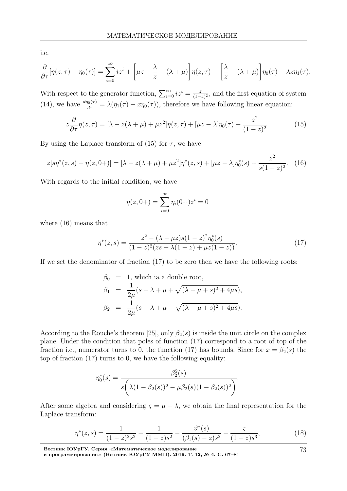i.e.

$$
\frac{\partial}{\partial \tau}[\eta(z,\tau)-\eta_0(\tau)]=\sum_{i=0}^{\infty}iz^i+\left[\mu z+\frac{\lambda}{z}-(\lambda+\mu)\right]\eta(z,\tau)-\left[\frac{\lambda}{z}-(\lambda+\mu)\right]\eta_0(\tau)-\lambda z\eta_1(\tau).
$$

With respect to the generator function,  $\sum_{i=0}^{\infty} iz^i = \frac{z}{(1-z)^i}$  $\frac{z}{(1-z)^2}$ , and the first equation of system (14), we have  $\frac{d\eta_0(\tau)}{d\tau} = \lambda(\eta_1(\tau) - x\eta_0(\tau))$ , therefore we have following linear equation:

$$
z\frac{\partial}{\partial \tau}\eta(z,\tau) = [\lambda - z(\lambda + \mu) + \mu z^2]\eta(z,\tau) + [\mu z - \lambda]\eta_0(\tau) + \frac{z^2}{(1-z)^2}.
$$
 (15)

By using the Laplace transform of (15) for  $\tau$ , we have

$$
z[s\eta^*(z,s) - \eta(z,0+)]=[\lambda - z(\lambda + \mu) + \mu z^2]\eta^*(z,s) + [\mu z - \lambda]\eta_0^*(s) + \frac{z^2}{s(1-z)^2}.
$$
 (16)

With regards to the initial condition, we have

$$
\eta(z, 0+) = \sum_{i=0}^{\infty} \eta_i(0+) z^i = 0
$$

where (16) means that

$$
\eta^*(z,s) = \frac{z^2 - (\lambda - \mu z)s(1-z)^2 \eta_0^*(s)}{(1-z)^2 (zs - \lambda(1-z) + \mu z(1-z))}.
$$
\n(17)

If we set the denominator of fraction  $(17)$  to be zero then we have the following roots:

$$
\beta_0 = 1, \text{ which is a double root},
$$
  
\n
$$
\beta_1 = \frac{1}{2\mu}(s + \lambda + \mu + \sqrt{(\lambda - \mu + s)^2 + 4\mu s}),
$$
  
\n
$$
\beta_2 = \frac{1}{2\mu}(s + \lambda + \mu - \sqrt{(\lambda - \mu + s)^2 + 4\mu s}).
$$

According to the Rouche's theorem [25], only  $\beta_2(s)$  is inside the unit circle on the complex plane. Under the condition that poles of function (17) correspond to a root of top of the fraction i.e., numerator turns to 0, the function (17) has bounds. Since for  $x = \beta_2(s)$  the top of fraction (17) turns to 0, we have the following equality:

$$
\eta_0^*(s) = \frac{\beta_2^2(s)}{s\left(\lambda(1-\beta_2(s))^2 - \mu\beta_2(s)(1-\beta_2(s))^2\right)}.
$$

After some algebra and considering  $\varsigma = \mu - \lambda$ , we obtain the final representation for the Laplace transform:

$$
\eta^*(z,s) = \frac{1}{(1-z)^2 s^2} - \frac{1}{(1-z)s^2} - \frac{\vartheta^*(s)}{(\beta_1(s)-z)s^2} - \frac{\varsigma}{(1-z)s^3},\tag{18}
$$

73

Вестник ЮУрГУ. Серия <sup>≪</sup>Математическое моделирование

и программирование<sup>≫</sup> (Вестник ЮУрГУ ММП). 2019. Т. 12, № 4. С. 67–81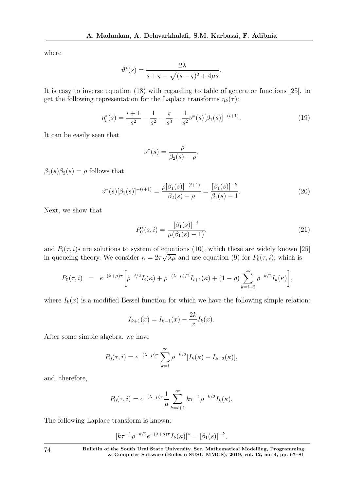where

$$
\vartheta^*(s) = \frac{2\lambda}{s + \varsigma - \sqrt{(s - \varsigma)^2 + 4\mu s}}.
$$

It is easy to inverse equation (18) with regarding to table of generator functions [25], to get the following representation for the Laplace transforms  $\eta_k(\tau)$ :

$$
\eta_i^*(s) = \frac{i+1}{s^2} - \frac{1}{s^2} - \frac{s}{s^3} - \frac{1}{s^2} \vartheta^*(s) [\beta_1(s)]^{-(i+1)}.
$$
\n(19)

It can be easily seen that

$$
\vartheta^*(s) = \frac{\rho}{\beta_2(s) - \rho},
$$

 $\beta_1(s)\beta_2(s) = \rho$  follows that

$$
\vartheta^*(s)[\beta_1(s)]^{-(i+1)} = \frac{\rho[\beta_1(s)]^{-(i+1)}}{\beta_2(s) - \rho} = \frac{[\beta_1(s)]^{-k}}{\beta_1(s) - 1}.
$$
\n(20)

Next, we show that

$$
P_0^*(s, i) = \frac{[\beta_1(s)]^{-i}}{\mu(\beta_1(s) - 1)},
$$
\n(21)

and  $P_i(\tau, i)$ s are solutions to system of equations (10), which these are widely known [25] in queueing theory. We consider  $\kappa = 2\tau\sqrt{\lambda\mu}$  and use equation (9) for  $P_0(\tau, i)$ , which is

$$
P_0(\tau, i) = e^{-(\lambda + \mu)\tau} \left[ \rho^{-i/2} I_i(\kappa) + \rho^{-(\lambda + \mu)/2} I_{i+1}(\kappa) + (1 - \rho) \sum_{k=i+2}^{\infty} \rho^{-k/2} I_k(\kappa) \right],
$$

where  $I_k(x)$  is a modified Bessel function for which we have the following simple relation:

$$
I_{k+1}(x) = I_{k-1}(x) - \frac{2k}{x}I_k(x).
$$

After some simple algebra, we have

$$
P_0(\tau, i) = e^{-(\lambda + \mu)\tau} \sum_{k=i}^{\infty} \rho^{-k/2} [I_k(\kappa) - I_{k+2}(\kappa)],
$$

and, therefore,

$$
P_0(\tau, i) = e^{-(\lambda + \mu)\tau} \frac{1}{\mu} \sum_{k=i+1}^{\infty} k \tau^{-1} \rho^{-k/2} I_k(\kappa).
$$

The following Laplace transform is known:

$$
[k\tau^{-1}\rho^{-k/2}e^{-(\lambda+\mu)\tau}I_k(\kappa)]^* = [\beta_1(s)]^{-k},
$$

74 Bulletin of the South Ural State University. Ser. Mathematical Modelling, Programming & Computer Software (Bulletin SUSU MMCS), 2019, vol. 12, no. 4, pp. 67–81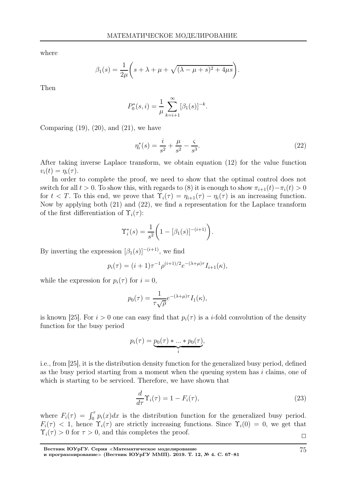where

$$
\beta_1(s) = \frac{1}{2\mu} \left( s + \lambda + \mu + \sqrt{(\lambda - \mu + s)^2 + 4\mu s} \right).
$$

Then

$$
P_0^*(s, i) = \frac{1}{\mu} \sum_{k=i+1}^{\infty} [\beta_1(s)]^{-k}.
$$

Comparing  $(19)$ ,  $(20)$ , and  $(21)$ , we have

$$
\eta_i^*(s) = \frac{i}{s^2} + \frac{\mu}{s^2} - \frac{\varsigma}{s^3}.\tag{22}
$$

After taking inverse Laplace transform, we obtain equation (12) for the value function  $v_i(t) = \eta_i(\tau).$ 

In order to complete the proof, we need to show that the optimal control does not switch for all  $t > 0$ . To show this, with regards to (8) it is enough to show  $\pi_{i+1}(t) - \pi_i(t) > 0$ for  $t < T$ . To this end, we prove that  $\Upsilon_i(\tau) = \eta_{i+1}(\tau) - \eta_i(\tau)$  is an increasing function. Now by applying both (21) and (22), we find a representation for the Laplace transform of the first differentiation of  $\Upsilon_i(\tau)$ :

$$
\Upsilon_i^*(s) = \frac{1}{s^2} \bigg( 1 - [\beta_1(s)]^{-(i+1)} \bigg).
$$

By inverting the expression  $\left[\beta_1(s)\right]^{-(i+1)}$ , we find

$$
p_i(\tau) = (i+1)\tau^{-1}\rho^{(i+1)/2}e^{-(\lambda+\mu)\tau}I_{i+1}(\kappa),
$$

while the expression for  $p_i(\tau)$  for  $i = 0$ ,

$$
p_0(\tau) = \frac{1}{\tau \sqrt{\rho}} e^{-(\lambda + \mu)\tau} I_1(\kappa),
$$

is known [25]. For  $i > 0$  one can easy find that  $p_i(\tau)$  is a *i*-fold convolution of the density function for the busy period

$$
p_i(\tau) = \underbrace{p_0(\tau) * ... * p_0(\tau)}_i,
$$

i.e., from [25], it is the distribution density function for the generalized busy period, defined as the busy period starting from a moment when the queuing system has  $i$  claims, one of which is starting to be serviced. Therefore, we have shown that

$$
\frac{d}{d\tau}\Upsilon_i(\tau) = 1 - F_i(\tau),\tag{23}
$$

where  $F_i(\tau) = \int_0^{\tau} p_i(x) dx$  is the distribution function for the generalized busy period.  $F_i(\tau) < 1$ , hence  $\Upsilon_i(\tau)$  are strictly increasing functions. Since  $\Upsilon_i(0) = 0$ , we get that  $\Upsilon_i(\tau) > 0$  for  $\tau > 0$ , and this completes the proof.

Вестник ЮУрГУ. Серия <sup>≪</sup>Математическое моделирование и программирование<sup>≫</sup> (Вестник ЮУрГУ ММП). 2019. Т. 12, № 4. С. 67–81 75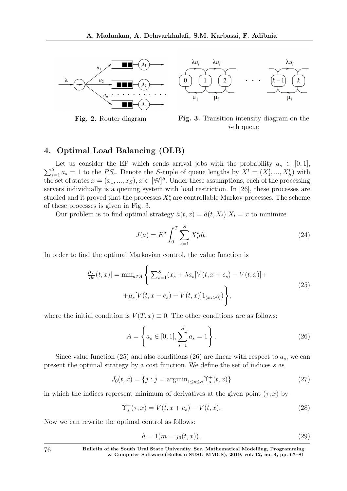

 $\lambda u_i$  $\lambda u_i$  $\lambda u_i$  $\overline{0}$  $\mu_1$  $\mu_i$  $\mu_i$ 



# 4. Optimal Load Balancing (OLB)

 $\sum$ Let us consider the EP which sends arrival jobs with the probability  $a_s \in [0,1]$ ,<br>  $S_{\alpha_s} = 1$  to the ES. Denote the S tuple of guous lengths by  $X^t = (X^t - X^t)$  with  $S_{s=1} a_s = 1$  to the  $PS_s$ . Denote the S-tuple of queue lengths by  $X^t = (X_1^t, ..., X_S^t)$  with the set of states  $x = (x_1, ..., x_S), x \in [\mathbb{W}]^S$ . Under these assumptions, each of the processing servers individually is a queuing system with load restriction. In [26], these processes are studied and it proved that the processes  $X_s^t$  are controllable Markov processes. The scheme of these processes is given in Fig. 3.

Our problem is to find optimal strategy  $\hat{a}(t, x) = \hat{a}(t, X_t)|X_t = x$  to minimize

$$
J(a) = E^a \int_0^T \sum_{s=1}^S X_s^t dt.
$$
 (24)

In order to find the optimal Markovian control, the value function is

$$
\frac{\partial V}{\partial t}(t,x)| = \min_{a \in A} \left\{ \sum_{s=1}^{S} (x_s + \lambda a_s [V(t, x + e_s) - V(t, x)] + \mu_s [V(t, x - e_s) - V(t, x)] 1_{(x_s > 0)}) \right\},\tag{25}
$$

where the initial condition is  $V(T, x) \equiv 0$ . The other conditions are as follows:

$$
A = \left\{ a_s \in [0, 1], \sum_{s=1}^{S} a_s = 1 \right\}.
$$
 (26)

Since value function (25) and also conditions (26) are linear with respect to  $a_s$ , we can present the optimal strategy by a cost function. We define the set of indices s as

$$
J_0(t, x) = \{j : j = \operatorname{argmin}_{1 \le s \le S} \Upsilon_s^+(t, x)\}
$$
\n(27)

in which the indices represent minimum of derivatives at the given point  $(\tau, x)$  by

$$
\Upsilon_s^+(\tau, x) = V(t, x + e_s) - V(t, x). \tag{28}
$$

Now we can rewrite the optimal control as follows:

$$
\hat{a} = 1(m = j_0(t, x)).
$$
\n(29)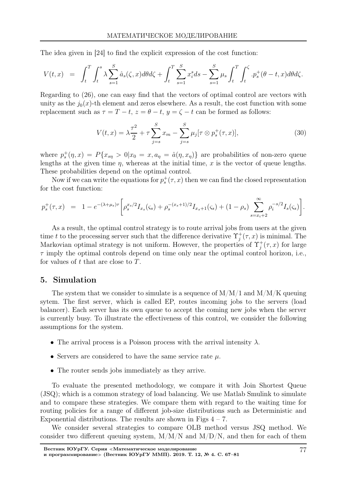The idea given in [24] to find the explicit expression of the cost function:

$$
V(t,x) = \int_{t}^{T} \int_{t}^{s} \lambda \sum_{s=1}^{S} \hat{a}_{s}(\zeta, x) d\theta d\zeta + \int_{t}^{T} \sum_{s=1}^{S} x_{i}^{s} ds - \sum_{s=1}^{S} \mu_{s} \int_{t}^{T} \int_{t}^{\zeta} . p_{s}^{+}(\theta - t, x) d\theta d\zeta.
$$

Regarding to (26), one can easy find that the vectors of optimal control are vectors with unity as the  $j_0(x)$ -th element and zeros elsewhere. As a result, the cost function with some replacement such as  $\tau = T - t$ ,  $z = \theta - t$ ,  $y = \zeta - t$  can be formed as follows:

$$
V(t,x) = \lambda \frac{\tau^2}{2} + \tau \sum_{j=s}^{S} x_m - \sum_{j=s}^{S} \mu_j [\tau \otimes p_s^+(\tau, x)],
$$
\n(30)

where  $p_s^+(\eta, x) = P\{x_{s\eta} > 0 | x_0 = x, a_\eta = \hat{a}(\eta, x_\eta)\}\$  are probabilities of non-zero queue lengths at the given time  $\eta$ , whereas at the initial time, x is the vector of queue lengths. These probabilities depend on the optimal control.

Now if we can write the equations for  $p_s^+(\tau, x)$  then we can find the closed representation for the cost function:

$$
p_s^+(\tau, x) = 1 - e^{-(\lambda + \mu_s)\tau} \left[ \rho_s^{x_s/2} I_{x_s}(\varsigma_s) + \rho_s^{-(x_s+1)/2} I_{x_s+1}(\varsigma_s) + (1 - \rho_s) \sum_{s = x_i+2}^{\infty} \rho_i^{-s/2} I_s(\varsigma_s) \right].
$$

As a result, the optimal control strategy is to route arrival jobs from users at the given time t to the processing server such that the difference derivative  $\Upsilon_i^+$  $j^+(\tau, x)$  is minimal. The Markovian optimal strategy is not uniform. However, the properties of  $\Upsilon_i^+$  $j^+(\tau, x)$  for large  $\tau$  imply the optimal controls depend on time only near the optimal control horizon, i.e., for values of  $t$  that are close to  $T$ .

#### 5. Simulation

The system that we consider to simulate is a sequence of  $M/M/1$  and  $M/M/K$  queuing sytem. The first server, which is called EP, routes incoming jobs to the servers (load balancer). Each server has its own queue to accept the coming new jobs when the server is currently busy. To illustrate the effectiveness of this control, we consider the following assumptions for the system.

- The arrival process is a Poisson process with the arrival intensity  $\lambda$ .
- Servers are considered to have the same service rate  $\mu$ .
- The router sends jobs immediately as they arrive.

To evaluate the presented methodology, we compare it with Join Shortest Queue (JSQ); which is a common strategy of load balancing. We use Matlab Smulink to simulate and to compare these strategies. We compare them with regard to the waiting time for routing policies for a range of different job-size distributions such as Deterministic and Exponential distributions. The results are shown in Figs  $4 - 7$ .

We consider several strategies to compare OLB method versus JSQ method. We consider two different queuing system,  $M/M/N$  and  $M/D/N$ , and then for each of them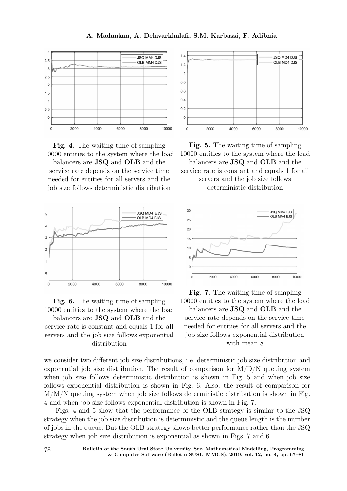



balancers are JSQ and OLB and the service rate depends on the service time needed for entities for all servers and the job size follows deterministic distribution





balancers are JSQ and OLB and the service rate is constant and equals 1 for all servers and the job size follows exponential distribution



Fig. 5. The waiting time of sampling 10000 entities to the system where the load balancers are JSQ and OLB and the service rate is constant and equals 1 for all servers and the job size follows deterministic distribution



Fig. 7. The waiting time of sampling 10000 entities to the system where the load balancers are JSQ and OLB and the service rate depends on the service time needed for entities for all servers and the job size follows exponential distribution with mean 8

we consider two different job size distributions, i.e. deterministic job size distribution and exponential job size distribution. The result of comparison for  $M/D/N$  queuing system when job size follows deterministic distribution is shown in Fig. 5 and when job size follows exponential distribution is shown in Fig. 6. Also, the result of comparison for  $M/M/N$  queuing system when job size follows deterministic distribution is shown in Fig. 4 and when job size follows exponential distribution is shown in Fig. 7.

Figs. 4 and 5 show that the performance of the OLB strategy is similar to the JSQ strategy when the job size distribution is deterministic and the queue length is the number of jobs in the queue. But the OLB strategy shows better performance rather than the JSQ strategy when job size distribution is exponential as shown in Figs. 7 and 6.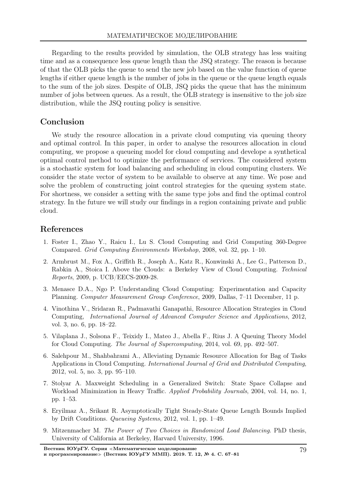Regarding to the results provided by simulation, the OLB strategy has less waiting time and as a consequence less queue length than the JSQ strategy. The reason is because of that the OLB picks the queue to send the new job based on the value function of queue lengths if either queue length is the number of jobs in the queue or the queue length equals to the sum of the job sizes. Despite of OLB, JSQ picks the queue that has the minimum number of jobs between queues. As a result, the OLB strategy is insensitive to the job size distribution, while the JSQ routing policy is sensitive.

## Conclusion

We study the resource allocation in a private cloud computing via queuing theory and optimal control. In this paper, in order to analyse the resources allocation in cloud computing, we propose a queueing model for cloud computing and develope a synthetical optimal control method to optimize the performance of services. The considered system is a stochastic system for load balancing and scheduling in cloud computing clusters. We consider the state vector of system to be available to observe at any time. We pose and solve the problem of constructing joint control strategies for the queuing system state. For shortness, we consider a setting with the same type jobs and find the optimal control strategy. In the future we will study our findings in a region containing private and public cloud.

## References

- 1. Foster I., Zhao Y., Raicu I., Lu S. Cloud Computing and Grid Computing 360-Degree Compared. Grid Computing Environments Workshop, 2008, vol. 32, pp. 1–10.
- 2. Armbrust M., Fox A., Griffith R., Joseph A., Katz R., Konwinski A., Lee G., Patterson D., Rabkin A., Stoica I. Above the Clouds: a Berkeley View of Cloud Computing. Technical Reports, 2009, p. UCB/EECS-2009-28.
- 3. Menasce D.A., Ngo P. Understanding Cloud Computing: Experimentation and Capacity Planning. Computer Measurement Group Conference, 2009, Dallas, 7–11 December, 11 p.
- 4. Vinothina V., Sridaran R., Padmavathi Ganapathi, Resource Allocation Strategies in Cloud Computing, International Journal of Advanced Computer Science and Applications, 2012, vol. 3, no. 6, pp. 18–22.
- 5. Vilaplana J., Solsona F., Teixidу I., Mateo J., Abella F., Rius J. A Queuing Theory Model for Cloud Computing. The Journal of Supercomputing, 2014, vol. 69, pp. 492–507.
- 6. Salehpour M., Shahbahrami A., Alleviating Dynamic Resource Allocation for Bag of Tasks Applications in Cloud Computing. International Journal of Grid and Distributed Computing, 2012, vol. 5, no. 3, pp. 95–110.
- 7. Stolyar A. Maxweight Scheduling in a Generalized Switch: State Space Collapse and Workload Minimization in Heavy Traffic. Applied Probability Journals, 2004, vol. 14, no. 1, pp. 1–53.
- 8. Eryilmaz A., Srikant R. Asymptotically Tight Steady-State Queue Length Bounds Implied by Drift Conditions. Queueing Systems, 2012, vol. 1, pp. 1–49.
- 9. Mitzenmacher M. The Power of Two Choices in Randomized Load Balancing. PhD thesis, University of California at Berkeley, Harvard University, 1996.

Вестник ЮУрГУ. Серия <sup>≪</sup>Математическое моделирование и программирование» (Вестник ЮУрГУ ММП). 2019. Т. 12, № 4. С. 67-81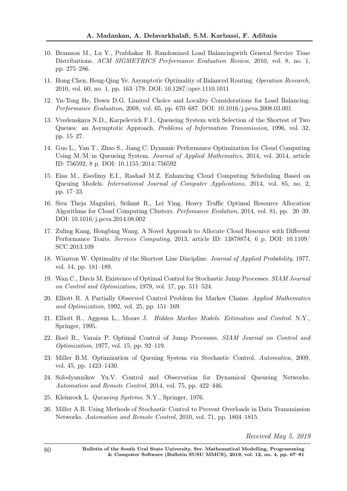- 10. Bramson M., Lu Y., Prabhakar B. Randomized Load Balancingwith General Service Time Distributions. ACM SIGMETRICS Performance Evaluation Review, 2010, vol. 8, no. 1, pp. 275–286.
- 11. Hong Chen, Heng-Qing Ye. Asymptotic Optimality of Balanced Routing. Operation Research, 2010, vol. 60, no. 1, pp. 163–179. DOI: 10.1287/opre.1110.1011
- 12. Yu-Tong He, Down D.G. Limited Choice and Locality Considerations for Load Balancing. Performance Evaluation, 2008, vol. 65, pp. 670–687. DOI: 10.1016/j.peva.2008.03.001
- 13. Vvedenskaya N.D., Karpelevich F.I., Queueing System with Selection of the Shortest of Two Queues: an Asymptotic Approach. Problems of Information Transmission, 1996, vol. 32, pp. 15–27.
- 14. Guo L., Yan T., Zhao S., Jiang C. Dynamic Performance Optimization for Cloud Computing Using M/M/m Queueing System. Journal of Applied Mathematics, 2014, vol. 2014, article ID: 756592, 8 p. DOI: 10.1155/2014/756592
- 15. Eisa M., Esedimy E.I., Rashad M.Z. Enhancing Cloud Computing Scheduling Based on Queuing Models. International Journal of Computer Applications, 2014, vol. 85, no. 2, pp. 17–23.
- 16. Siva Theja Maguluri, Srikant R., Lei Ying. Heavy Traffic Optimal Resource Allocation Algorithms for Cloud Computing Clusters. Perfomance Evolution, 2014, vol. 81, pp. 20–39. DOI: 10.1016/j.peva.2014.08.002
- 17. Zuling Kang, Hongbing Wang. A Novel Approach to Allocate Cloud Resource with Different Performance Traits. Services Computing, 2013, article ID: 13878874, 6 p. DOI: 10.1109/ SCC.2013.109
- 18. Winston W. Optimality of the Shortest Line Discipline. Journal of Applied Probability, 1977, vol. 14, pp. 181–189.
- 19. Wan C., Davis M. Existence of Optimal Control for Stochastic Jump Processes. SIAM Journal on Control and Optimization, 1979, vol. 17, pp. 511–524.
- 20. Elliott R. A Partially Observed Control Problem for Markov Chains. Applied Mathematics and Optimization, 1992, vol. 25, pp. 151–169.
- 21. Elliott R., Aggoun L., Moore J. Hidden Markov Models. Estimation and Control. N.Y., Springer, 1995.
- 22. Boel R., Varaia P. Optimal Control of Jump Processes. SIAM Journal on Control and Optimization, 1977, vol. 15, pp. 92–119.
- 23. Miller B.M. Optimization of Queuing System via Stochastic Control. Automatica, 2009, vol. 45, pp. 1423–1430.
- 24. Solodyannikov Yu.V. Control and Observation for Dynamical Queueing Networks. Automation and Remote Control, 2014, vol. 75, pp. 422–446.
- 25. Kleinrock L. Queueing Systems. N.Y., Springer, 1976.
- 26. Miller A.B. Using Methods of Stochastic Control to Prevent Overloads in Data Transmission Networks. Automation and Remote Control, 2010, vol. 71, pp. 1804–1815.

Received May 5, 2019